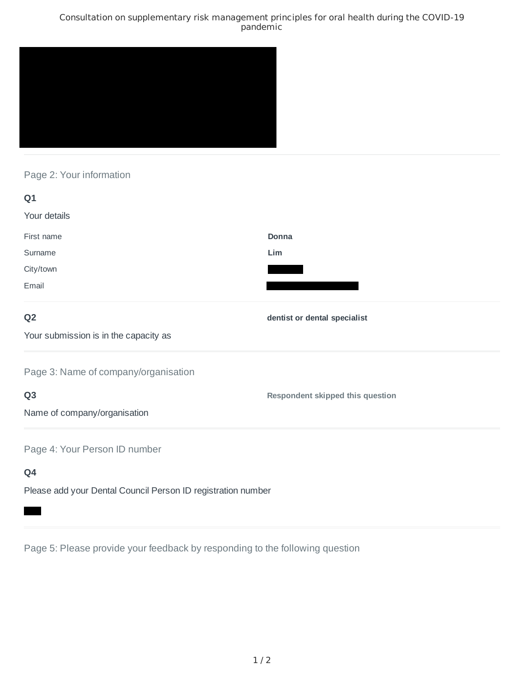## Consultation on supplementary risk management principles for oral health during the COVID-19 pandemic



## Page 2: Your information

| Q1                                                           |                                         |
|--------------------------------------------------------------|-----------------------------------------|
| Your details                                                 |                                         |
| First name                                                   | Donna                                   |
| Surname                                                      | Lim                                     |
| City/town                                                    |                                         |
| Email                                                        |                                         |
| Q <sub>2</sub>                                               | dentist or dental specialist            |
| Your submission is in the capacity as                        |                                         |
| Page 3: Name of company/organisation                         |                                         |
| Q <sub>3</sub>                                               | <b>Respondent skipped this question</b> |
| Name of company/organisation                                 |                                         |
| Page 4: Your Person ID number                                |                                         |
| Q4                                                           |                                         |
| Please add your Dental Council Person ID registration number |                                         |

Page 5: Please provide your feedback by responding to the following question